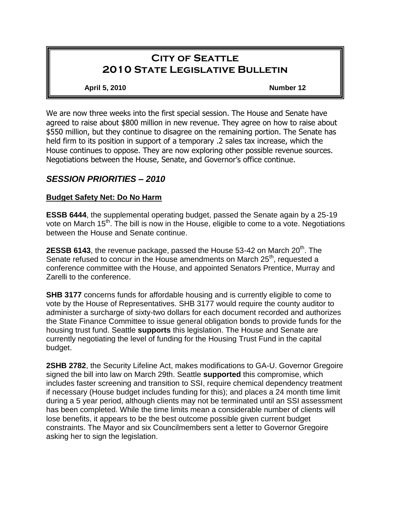# **City of Seattle 2010 State Legislative Bulletin**

**April 5, 2010 Number 12**

We are now three weeks into the first special session. The House and Senate have agreed to raise about \$800 million in new revenue. They agree on how to raise about \$550 million, but they continue to disagree on the remaining portion. The Senate has held firm to its position in support of a temporary .2 sales tax increase, which the House continues to oppose. They are now exploring other possible revenue sources. Negotiations between the House, Senate, and Governor's office continue.

## *SESSION PRIORITIES – 2010*

## **Budget Safety Net: Do No Harm**

**ESSB 6444**, the supplemental operating budget, passed the Senate again by a 25-19 vote on March 15<sup>th</sup>. The bill is now in the House, eligible to come to a vote. Negotiations between the House and Senate continue.

**2ESSB 6143**, the revenue package, passed the House 53-42 on March 20<sup>th</sup>. The Senate refused to concur in the House amendments on March 25<sup>th</sup>, requested a conference committee with the House, and appointed Senators Prentice, Murray and Zarelli to the conference.

**SHB 3177** concerns funds for affordable housing and is currently eligible to come to vote by the House of Representatives. SHB 3177 would require the county auditor to administer a surcharge of sixty-two dollars for each document recorded and authorizes the State Finance Committee to issue general obligation bonds to provide funds for the housing trust fund. Seattle **supports** this legislation. The House and Senate are currently negotiating the level of funding for the Housing Trust Fund in the capital budget.

**2SHB 2782**, the Security Lifeline Act, makes modifications to GA-U. Governor Gregoire signed the bill into law on March 29th. Seattle **supported** this compromise, which includes faster screening and transition to SSI, require chemical dependency treatment if necessary (House budget includes funding for this); and places a 24 month time limit during a 5 year period, although clients may not be terminated until an SSI assessment has been completed. While the time limits mean a considerable number of clients will lose benefits, it appears to be the best outcome possible given current budget constraints. The Mayor and six Councilmembers sent a letter to Governor Gregoire asking her to sign the legislation.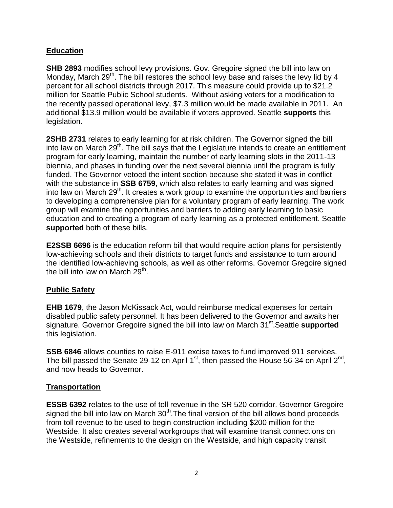## **Education**

**SHB 2893** modifies school levy provisions. Gov. Gregoire signed the bill into law on Monday, March  $29<sup>th</sup>$ . The bill restores the school levy base and raises the levy lid by 4 percent for all school districts through 2017. This measure could provide up to \$21.2 million for Seattle Public School students. Without asking voters for a modification to the recently passed operational levy, \$7.3 million would be made available in 2011. An additional \$13.9 million would be available if voters approved. Seattle **supports** this legislation.

**2SHB 2731** relates to early learning for at risk children. The Governor signed the bill into law on March  $29<sup>th</sup>$ . The bill says that the Legislature intends to create an entitlement program for early learning, maintain the number of early learning slots in the 2011-13 biennia, and phases in funding over the next several biennia until the program is fully funded. The Governor vetoed the intent section because she stated it was in conflict with the substance in **SSB 6759**, which also relates to early learning and was signed into law on March  $29<sup>th</sup>$ . It creates a work group to examine the opportunities and barriers to developing a comprehensive plan for a voluntary program of early learning. The work group will examine the opportunities and barriers to adding early learning to basic education and to creating a program of early learning as a protected entitlement. Seattle **supported** both of these bills.

**E2SSB 6696** is the education reform bill that would require action plans for persistently low-achieving schools and their districts to target funds and assistance to turn around the identified low-achieving schools, as well as other reforms. Governor Gregoire signed the bill into law on March  $29^{th}$ .

## **Public Safety**

**EHB 1679**, the Jason McKissack Act, would reimburse medical expenses for certain disabled public safety personnel. It has been delivered to the Governor and awaits her signature. Governor Gregoire signed the bill into law on March 31<sup>st</sup>. Seattle **supported** this legislation.

**SSB 6846** allows counties to raise E-911 excise taxes to fund improved 911 services. The bill passed the Senate 29-12 on April 1<sup>st</sup>, then passed the House 56-34 on April 2<sup>nd</sup>, and now heads to Governor.

## **Transportation**

**ESSB 6392** relates to the use of toll revenue in the SR 520 corridor. Governor Gregoire signed the bill into law on March  $30<sup>th</sup>$ . The final version of the bill allows bond proceeds from toll revenue to be used to begin construction including \$200 million for the Westside. It also creates several workgroups that will examine transit connections on the Westside, refinements to the design on the Westside, and high capacity transit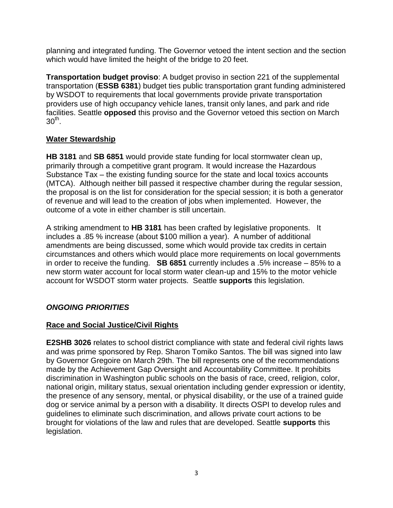planning and integrated funding. The Governor vetoed the intent section and the section which would have limited the height of the bridge to 20 feet.

**Transportation budget proviso**: A budget proviso in section 221 of the supplemental transportation (**ESSB 6381**) budget ties public transportation grant funding administered by WSDOT to requirements that local governments provide private transportation providers use of high occupancy vehicle lanes, transit only lanes, and park and ride facilities. Seattle **opposed** this proviso and the Governor vetoed this section on March  $30^{\sf th}$ .

#### **Water Stewardship**

**HB 3181** and **SB 6851** would provide state funding for local stormwater clean up, primarily through a competitive grant program. It would increase the Hazardous Substance Tax – the existing funding source for the state and local toxics accounts (MTCA). Although neither bill passed it respective chamber during the regular session, the proposal is on the list for consideration for the special session; it is both a generator of revenue and will lead to the creation of jobs when implemented. However, the outcome of a vote in either chamber is still uncertain.

A striking amendment to **HB 3181** has been crafted by legislative proponents. It includes a .85 % increase (about \$100 million a year). A number of additional amendments are being discussed, some which would provide tax credits in certain circumstances and others which would place more requirements on local governments in order to receive the funding. **SB 6851** currently includes a .5% increase – 85% to a new storm water account for local storm water clean-up and 15% to the motor vehicle account for WSDOT storm water projects. Seattle **supports** this legislation.

## *ONGOING PRIORITIES*

#### **Race and Social Justice/Civil Rights**

**E2SHB 3026** relates to school district compliance with state and federal civil rights laws and was prime sponsored by Rep. Sharon Tomiko Santos. The bill was signed into law by Governor Gregoire on March 29th. The bill represents one of the recommendations made by the Achievement Gap Oversight and Accountability Committee. It prohibits discrimination in Washington public schools on the basis of race, creed, religion, color, national origin, military status, sexual orientation including gender expression or identity, the presence of any sensory, mental, or physical disability, or the use of a trained guide dog or service animal by a person with a disability. It directs OSPI to develop rules and guidelines to eliminate such discrimination, and allows private court actions to be brought for violations of the law and rules that are developed. Seattle **supports** this legislation.